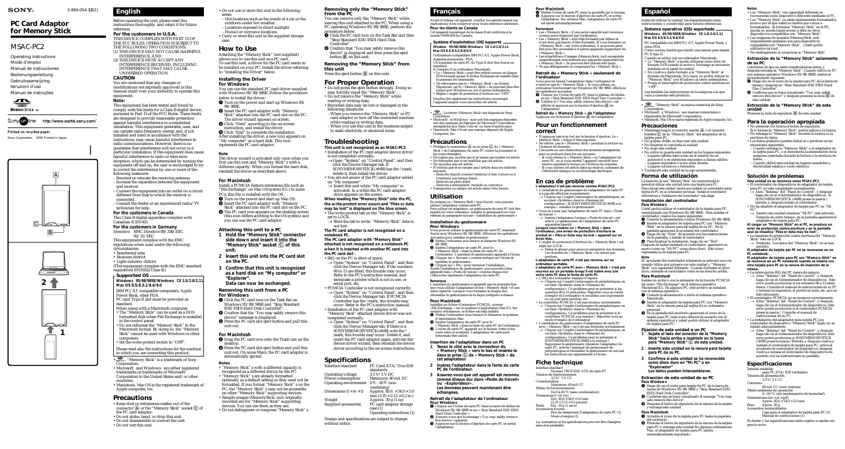3-868-054-**13**(1)

# *MSAC-PC2*

# *PC Card Adaptor for Memory Stick*

Operating instructions Mode d'emploi Manual de instrucciones Bedienungsanleitung Gebruiksaanwijzing Istruzioni d'uso Manual de instruções



Sony on line http://www.world.sony.com/

Printed on recycled paper

Sony Corporation ©1999 Printed in Japan

**For the customers in U.S.A.** THIS DEVICE COMPLIES WITH PART 15 OF THE FCC RULES. OPERATION IS SUBJECT TO THE FOLLOWING TWO CONDITIONS: (1) THIS DEVICE MAY NOT CAUSE HARMFUL.

# **English**

Before operating the unit, please read this instructions thoroughly, and retain it for future reference.

INTERFERENCE, AND (2) THIS DEVICE MUST ACCEPT ANY INTERFERENCE RECEIVED, INCLUDING INTERFERENCE THAT MAY CAUSE

#### UNDESIRED OPERATION. **CAUTION**

You are cautioned that any changes or modifications not expressly approved in this manual could void your authority to operate this equipment.

**Note:** This equipment has been tested and found to comply with the limits for a Class B digital device, pursuant to Part 15 of the FCC Rules. These limits

are designed to provide reasonable protection against harmful interference in a residential installation. This equipment generates, uses, and can radiate radio frequency energy and, if not installed and used in accordance with the instructions, may cause harmful interference to radio communications. However, there is no guarantee that interference will not occur in a

particular installation. If this equipment does cause harmful interference to radio or television reception, which can be determined by turning the equipment off and on, the user is encouraged to try to correct the interference by one or more of the following measures:

- Reorient or relocate the receiving antenna. – Increase the separation between the equipment
- and receiver. – Connect the equipment into an outlet on a circuit different from that to which the receiver is connected.
- Consult the dealer or an experienced radio/TV technician for help.
- **For the customers in Canada**

This Class B digital apparatus complies with Canadian ICES-003. **For the customers in Germany**

- Directive: EMC Directive 89/336/EEC. 92/31/EEC
- This equipment complies with the EMC regulations when used under the following circumstances:
- Residential area
- Business district
- Light-industry district (This equipment complies with the EMC standard regulations EN55022 Class B.)

 $\bullet$  Click "End" to complete the installation. After installing the driver, a new icon appears on "My computer" as a hard disk. This icon represents the PC card adaptor.

#### **Supported OS**

**Windows 95/98/98SE/Windows CE 1.0/2.0/2.11 Mac OS 8.5/8.5.1/8.6/9.0**

- IBM PC/AT compatible computers, Apple Power Book, other PDA PC card Type II slot must be provided as standard.
- When using with a Macintosh computer: • The "Memory Stick" can be used as a DOS formatted disk when File Exchange is installed in the control panel.
- Do not reformat the "Memory Stick" to the Macintosh format. By doing so, the "Memory Stick" cannot be used with Windows or other computers.
- Set the write-protect switch to "OFF".
- Please read also the instructions for the machine to which you are connecting this product.
- $\overline{\bullet}$   $\overline{\bullet}$  "Memory Stick" is a trademark of Sony Corporation.
- Microsoft<sup>®</sup> and Windows<sup>®</sup> are either registered trademarks or trademarks of Microsoft Corporation in the United States and/or other countries.
- Macintosh. Mac OS is the registered trademark of Apple computer, Inc.
- **1** Drag the PC card icon onto the Trash can on the
- desktop. 2 Press the PC card slot eject button and pull this unit out. On some Macs, the PC card adaptor is automatically ejected.

- "Memory Stick" s with a different capacity is recognized as a different device by the PC.
- "Memory Stick" s are already formatted optimally as a default setting so they need not be
- formatted. If you format "Memory Stick" s on the PC, the "Memory Stick" s may not be accessible on other "Memory Stick" supporting devices. • Sample images (MemoryStick. ind) originally
- recorded are for "Memory Stick" supporting
- devices. You can use them as they are. • Do not defragment or compress "Memory Stick" s.

## **Precautions**

- Keep dust or extraneous matter out of the connector  $\boxed{\mathbf{A}}$  or the "Memory Stick" socket  $\boxed{\mathbf{C}}$  of the PC card adaptor.
- Do not strike, bend, or drop this unit.
- Do not disassemble or convert the unit.
- Do not wet this unit.
- 

• Do not use or store this unit in the following

- areas: – Hot locations such as the inside of a car or the
- outdoors under hot weather. – Locations exposed to direct sunlight.
- Humid or corrosive locations.
- Carry or store this unit in the supplied storage case.

## **How to Use**

Attaching the "Memory Stick" (not supplied) allows you to use this unit as a PC card. To use this unit, a driver for the PC card needs to be installed on your PC. Install the driver referring to "Installing the Driver" below.

> $\rightarrow$  Insert this unit while "My computer" is activated. In a while the PC card adaptor

## **Installing the Driver**

- **For Windows**
- You can use the standard PC card driver supplied with Windows 95/98/98SE. Follow the procedure
- below to install the driver:
- $\pmb{\mathbb{O}}$  Turn on the power and start up Windows 95/ 98/98SE.
- **2** Insert the PC card adaptor with "Memory" Stick" attached into the PC card slot on the PC. The driver wizard appears on screen.
- 3 Click "Next" according to the on-screen instruction, and install the driver.

#### **Note**

The driver wizard is activated only once when you first use this unit and "Memory Stick" s with a different capacity. When you format the hard disk, reinstall the driver as described above.

#### **For Macintosh**

- Install a PCMCIA feature extensions file such as "File Exchange" on Mac OS system 8.5. On some PCs, this file is installed with the OS.
- **Turn on the power and start up Mac OS.**  $\ddot{\mathbf{2}}$  Insert the PC card adaptor with "Memory
- Stick" attached into the PC card slot on the PC.
- <sup>1</sup> The PC card icon appears on the desktop screen (this icon differs accrding to the OS system) and you can use the PC card adaptor.

#### **Attaching this unit to a PC**

- **1 Hold the "Memory Stick" connector side down and insert it into the "Memory Stick" socket** C **of this unit.**
- **2 Insert this unit into the PC card slot on the PC.**
- **3 Confirm that this unit is recognized as a hard disk on "My computer" or "Explorer".**

# **Data can now be exchanged.**

- **Removing this unit from a PC For Windows**
- **O** Click the PC card icon on the Task Bar on Windows 95/98/98SE and "Stop Standard IDE/ESDI Hard Disk Controller".
- 2 Confirm that the "You may safely remove this device" message is displayed.
- <sup>1</sup> Press the PC card slot eject button and pull this unit out.

#### **For Macintosh**

#### **Notes**

#### **Removing only the "Memory Stick" from the PC**

You can remove only the "Memory Stick" while leaving this unit attached to the PC. When using a PC operating Windows 95/98/98SE, perform the procedure below.

- **O** Click the PC card icon on the Task Bar and then "Stop Standard IDE/ESDI Hard Disk Controller".
- **2** Confirm that "You may safely remove this device" is displayed and then press the eject button **B** on this unit.

<sup>2</sup> Insérez l'adaptateur de carte PC avec le « Memory Stick » dans la fente de carte PC de l'ordinateur. 3 L'icône de carte PC apparaît sur le bureau (cette icône varie selon le système). L'adaptateur de carte peut

#### **Removing the "Memory Stick" from this unit**

Press the eject button  $\boxed{B}$  on this unit.

## **For Proper Operation**

- 2 Assurez-vous que le message « You may safely remove
- this device » apparaît. 3 Appuyez sur le bouton d'éjection de carte PC et sortez l'adaptateur.
- Do not press the eject button strongly. Doing so may forcibly expel the "Memory Stick".
- Do not remove the "Memory Stick" while reading or writing data.
- Recorded data may be lost or damaged in the following situations:
- When you remove the "Memory Stick" or PC card adaptor or turn off the connected machine while reading or writing data.
- When you use this unit in the locations subject to static electricity or electrical noise.

# **Troubleshooting**

**This unit is not recognized as an MSAC-PC2.** • Installation of the PC card adaptor device driver

is not completed normally.  $\rightarrow$  Open "System" on "Control Panel", and then click the Device Manager tab. If SONYMEMORYSTICK(×MB) has the ! mark,

**Retrait du « Memory Stick » de l'adaptateur** Appuyez sur le bouton d'éjection **B** de l'adaptateur.

delete it, then install the driver. • You are not aware of the PC card adaptor added

on "My computer".

set to LOCK.

drive appears on the screen.

**When loading the "Memory Stick" into the PC, the write-protect error occurs and "Files or data may be lost" is displayed on the blue screen.** • The write-protect tab on the "Memory Stick" is

 $\rightarrow$  Slide the tab to write. "Memory Stick" data is

not lost.

**The PC card adaptor is not recognized on a**

**notebook PC.**

**The PC card adaptor with "Memory Stick" attached is not recognized on a notebook PC when it is inserted with another PC card into**

**the PC card slot .**

• IRQ on the PC is short of space. t Open "System" on "Control Panel", and then click the Device Manager tab. If the numbers 00 to 15 are filled, this trouble may occur. Refer to the PC's instruction manual, and terminate a printer which is not in use, or

serial port, etc.

**Specifications** 

• PCMCIA Controller is not recognized correctly.  $\rightarrow$  Open "System" on "Control Panel", and then click the Device Manager tab. If PCMCIA Controller has the ! mark, this trouble may occur. Refer to the PC's instruction manual. • Installation of the PC card adaptor with "Memory Stick" attached device driver was not completed normally. t Open "System" on "Control Panel", and then click the Device Manager tab. If there is a SONYMREMORYSTICK(×MB) with the ! mark, this trouble may occur. Delete it, and insert the PC card adaptor again, activate the device driver wizard, then reinstall the device driver according to the on-screen instructions.

PC Card ATA/True IDE

mm  $(3.35 \times 2.13 \times 0.2)$  in.)

 $\overline{PC}$  card adaptor storage

Operating environment 0 ºC - 60 ºC (non-

Weight Approx. 30 g (1 oz)<br>Supplied accessories PC card adaptor sto

case (1)

Operating voltage<br>Power consumption

Operating instructions (1)

Maximum: 60 mA DC

standards<br>3.3 V/5 V DC

Design and specifications are subject to change

 $\begin{array}{ccc} \rm{condensing)} \ \rm{Dimensions} & \rm{(l \times w \times t)} & \rm{Approx.} & \rm{ 85.6 \times 54.0 \times 5.0} \end{array}$ 

without notice.

**Français**

Avant d'utiliser cet appareil, veuillez lire attentivement ces explications et les conserver pour toute référence ultérieure.

**Pour les clients au Canada**

Cet appareil numérique de la classe B est conforme à la norme NMB-003 du Canada.

#### **Système d'exploitation (OS) supporté Window 95/98/98SE/Windows CE 1.0/2.0/2.11**

**Mac OS 8.5/8.5.1/8.6/9.0**

Ordinateurs compatibles IBM PC/AT, Apple Power Book,

Agendas personnels : PDA

- Mantenga limpio el conector macho  $\boxed{\mathbb{A}}$  o el conector hembra  $\boxed{\mathbb{C}}$  de la "Memory Stick" del adaptador de la
- tarjeta para PC. No golpee, doble, ni deje caer esta unidad. No desarme ni convierta la unidad.
- No moje esta unidad.
- No utilice ni guarde esta unidad en los lugares siguientes
- Lugares cálidos tales como en el interior de un
- automóvil o en exteriores expuestos a climas cálidos. Lugares expuestos a la luz solar directa.
- Lugares corrosivos o húmedos. • Transporte esta unidad en la caja suministrada.
- **Forma de utilización**

Un logement de carte PC de Type II doit être fourni en standard. A l'emploi d'un ordinateur Macintosh:

• Le « Memory Stick » peut être utilisé comme un disque DOS formaté quand le fichier Exchange est installé dans

le panneau de commande.

• Ne reformatez pas le « Memory Stick » au format Macintosh, car le « Memory Stick » ne pourrait plus être utilisé avec Windows ou sur d'autres ordinateurs. • Réglez l'onglet de protection d'écriture sur "OFF". Veuillez lire également les instructions concernant l'appareil auquel vous raccordez cet article.

•  $\frac{1}{\text{SUSIM}}$ . Le terme «Memory Stick» est déposée de Sony Corpration.<br>
Corpration : Microsoft® et Windows® sont soit des marques déposées soit des marques de fabrique de Microsoft Corporation, energistrées aux Etats-U

• Protégez le connecteur  $\overline{A}$  ou la prise  $\overline{C}$  du « Memory Stick » de l'adaptateur de carte PC contre la poussière e

**Précautions**

les corps étrangers. • Ne cognez pas, ne pliez pas et ne laissez pas tomber cet article. • Ne démontez pas et ne modifiez pas cet article. • Ne mouillez pas cet article.

• N'utilisez pas et ne rangez pas l'article dans les endroits

suivants: – Endroits chauds comme l'intérieur d'une voiture ou à

l'extérieur par temps chaud.

– Endroits en plein soleil. – Endroits à atmosphère humide ou corrosive. • Transportez ou rangez cet article dans l'étui fourni.

**Utilisation**

En insérant un « Memory Stick » (non fourni), vous pourrez

utiliser l'adaptateur comme carte PC.<br>Pour utiliser cet adaptateur, un gestionnaire de carte PC doit être<br>installé sur votre ordinateur. Installez le gestionnaire en vous<br>référant au paragraphe suivant « Installation du ge

# **Installation du gestionnaire**

**Pour Windows**

1 Haga clic en el icono de la tarjeta para PC de la barra de tareas y después en "Stop Standard IDE/ESDI Hard Disc Controller". <sup>2</sup> Confirme que se haya visualizado "You may safely remove this device" y después presione la tecla **B** de

Vous pouvez utiliser le gestionnaire de carte PC standard fourni avec Windows 95/98/98SE. Effectuez les opérations suivantes pour installer le gestionnaire : 1 Mettez l'ordinateur sous tension et démarrez Windows 95/

98/98SE.

Presione la tecla de expulsión  $\boxed{B}$  de esta unidad. **Para la operación apropiada**

2 Insérez l'adaptateur de carte PC avec le « Memory Stick » dans la fente de carte PC de l'ordinateur. L'assistant de gestionnaire apparaît à l'écran. 3 Cliquez sur « Suivant » comme indiqué sur l'écran et

installez le gestionnaire. 4 Cliquez sur « Fin » pour terminer l'installation. Après l'installation du gestionnaire, une nouvelle icône apparaît dans « Poste de travail » comme disque dur. Cette icône représente l'adaptateur de carte PC.

**Remarque**

L'assistant du gestionnaire n'apparaît que la première fois que vous utilisez l'adaptateur et des « Memory Stick » d'une autre capacité. Lorsque vous formatez le disque dur, réinstallez le gestionnaire de la façon indiquée ci-dessus.

**Inserte esta unidad mientras "Mi PC" esté activado.** Después de cierto tiempo, en la pantalla aparecerá el adaptador de tarjeta para PC. **Al cargar un "Memory Stick" en el PC, se produce un error de protección contra escritura y en la pantalla azul se visualiza "Files or data may be lost".**

**Pour Macintosh**

Installez un fichier d'extension PCMCIA, comme «File Exchange » sur le système d'exploitation Mac 8.5. Sur certains ordinateurs, ce fichier est déjà installé. 1 Mettez l'ordinateur sous tension et démarrez le système d'exploitation Mac.

désormais être utilisé.

**Insertion de l'adaptateur dans un PC 1 Tenez le côté avec le connecteur du « Memory Stick » vers le bas et insérez-le dans la prise** C **de « Memory Stick » de**

**cet adaptateur.**

**2 Insérez l'adaptateur dans la fente de carte**

**PC de l'ordinateur.**

**3 Assurez-vous que cet appareil est reconnu comme disque dur dans «Poste de travail»**

**ou´ «Explorateur».**

**Les données peuvent maintenant être**

**échangées.**

## **Retrait de l'adaptateur de l'ordinateur**

**Pour Windows**

1 Cliquez sur l'icône de carte PC dans la barre de tâches de Windows 95/98/98SE et sur « Stop Standard IDE/ESDI

Hard Disk Controller ».

### **Pour Macintosh**

1 Mettez l'icône de carte PC dans la poubelle sur le bureau. 2 Appuyez sur le bouton d'éjection de carte PC et sortez l'adaptateur. Sur certains Mac, l'adaptateur de carte PC est éjecté automatiquement.

#### **Remarques**

- Les « Memory Stick » d'une autre capacité sont reconnus
- comme autre dispositif par l'ordinateur. Les « Memory Stick » sont déjà formatés par défaut et n'ont donc pas besoin d'être formatés. Si vous formatez un « Memory Stick » sur votre ordinateur, il ne pourra peut-être plus être accessible à d'autres appareils supportant les « Memory Stick ». • Les échantillons d'images (MemoryStick. ind) enregistrés
- originellement sont destinés aux appareils supportant les « Memory Stick ». Ils peuvent être utilisés tels quels. • Ne pas défragmenter ni compresser les « Memory Stick ».

#### **Retrait du « Memory Stick » seulement de l'ordinateur**

Vous pouvez laisser l'adaptateur dans l'ordinateur et n'enlever que le « Memory Stick ». Si vous utilisez un ordinateur fonctionnant sur Windows 95/98/98SE, effectuez les opérations suivantes.

- 1 Cliquez sur l'icône de carte PC dans le plateau de tâches
- et sur « Stop Standard IDE/ESDI Hard Disc Controller ». 2 Vérifiez si « You may safely remove this device » est affiché et appuyez sur le bouton d'éjection **B** de<br>l'adaptateur.

# **Pour un fonctionnement correct**

- N'appuyez pas trop fort sur le bouton d'éjection. Le « Memory Stick » risque d'être expulsée. • Ne retirez pas le « Memory Stick » pendant la lecture ou
- l'écriture de données. Une perte ou une destruction des données enregistrées
- peut se produire dans les cas suivants: Si vous retirez le « Memory Stick » ou l'adaptateur de
- carte PC, ou si vous mettez l'appareil raccordé hors tension pendant la lecture ou l'écriture de données. Si vous utilisez cet article dans un endroit, subissant de l'électricité statique ou un brouillage électrique.

# **En cas de problème**

- **L'adaptateur n'est pas reconnu comme MSAC-PC2.** L'installation du gestionnaire de l'adaptateur de carte PC
- n'a pas été effectuée normalement.
- **t** pas cte encettre normalement:<br>→ Cliquez sur l'onglet Gestionnaire de périphériques, en ouvrant «Système» dans le «Panneau de configuration». Si SONYMEMORYSTICK(×MB) a la
- marque !, installez le gestionnaire. Vous ne voyez pas l'adaptateur de carte PC dans « Poste
- de travail ».<br>→ Insérez l'adaptateur lorsque « Poste de travail » est t Insérez l'adaptateur lorsque « Poste de travail » est activé. Le gestionnaire de l'adaptateur de carte PC apparaîtra bientôt.

**Lorsque vous insérez un « Memory Stick » dans l'ordinateur, une erreur de protection d'écriture se produit et « Files or Data may be lost » apparaît sur un écran bleu.**

- L'onglet de protection d'écriture du « Memory Stick » est réglé sur LOCK.
- → Faites-le glisser pour pouvoir enregistrer des données.<br>Les données du « Memory Stick » ne seront pas perdues.
- **L'adaptateur de carte PC n'est pas reconnu sur un**
- **ordinateur portable. L'adaptateur de carte PC avec « Memory Stick » n'est pas reconnu sur un portable lorsqu'il est inséré avec une** autre carte PC dans la fente de carte PC.<br>• L'IRQ de l'ordinateur manque d'espace.<br>← Cliquez sur l'onglet Gestionnaire de périphériques, en
- ouvrant «Système» dans le «Panneau de configuration». Ce problème peut se présenter si les numéros 00 à 15 sont pleins. Reportez-vous au mode d'emploi de l'ordinateur et invalidez une imprimante ou un port série inutilisé, etc. • Le contrôleur PCMCIA n'est pas reconnu correctement.
- t Cliquez sur l'onglet Gestionnaire de périphériques, en ouvrant «Système» dans le «Panneau de configuration». Ce problème peut se présenter si le contrôleur PCMCIA a la marque !. Reportez-vous au
- mode d'emploi de l'ordinateur. L'installation du gestionnaire d'adaptateur de carte PC
- avec « Memory Stick » ne s'est pas terminée normalement. t Cliquez sur l'onglet Gestionnaire de périphériques, en ouvrant «Système» dans le «Panneau de configuration». Ce problème peut se présenter si SONYMEMORYSTICK(×MB) a la marque !. Supprimez le gestionnaire, réinsérez l'adaptateur de carte PC, activez l'assistant de gestionnaire de
- périphériques et réinstallez le gestionnaire en suivant les instructions qui apparaissent à l'écran.

# **Fiche technique**

- Interface standard Normes TRUE IDE/ATA de carte PC Tension de fonctionnement 3,3 V/ 5 V CC
- Consommation Maximum: 60 mA CC
- Milieu de fonctionnement De 0 à 60 °C (sans condensation)
- $Dc \overline{b}$  a  $\overline{b}$   $\overline{c}$  Dimensions  $(\overline{c} \times \overline{b} \times \overline{c})$  $\frac{\text{JIS}}{\text{Fnv}} \frac{(1 \times 11 \times 1)}{85.6 \times 54.0 \times 5.0 \text{ mm}}$
- $(3,35 \times 2,13 \times 0,2 \text{ pouces})$
- Poids Env. 30 g (1 once) ires fourni
	- Etui de rangement d'adaptateur de carte PC (1) Mode d'emploi (1)
- La conception et les spécifications peuvent être changées sans avis préalable.





# **Español**

Antes de utilizar la unidad, lea detenidamente estas instrucciones, y consérvelas para futuras referencias.

- **Sistema operativo (OS) soportado Windows 95/98/98SE/Windiws CE 1.0/2.0/2.11**
- **Mac OS 8.5/8.5.1/8.6/9.0** PC compatible con IBM PC/AT, Apple Power Book, y
- otros PDA Como norma, tendrá que existir una ranura para tarjeta
- PC fr tipo II. Cuando se utilice con un ordenador Macintosh: • La "Memory Stick" a puede utilizarse como disco de
- formato DOS cuando el archivo Exchange se encuent
- instalado en el panel de control. No vuelva a darle formato a la "Memory Stick" al formato de Macintosh. Si lo hace, no podrá utilizar la
- "Memory Stick" con Windows ni otros ordenadores. • Ponga el interruptor de protección contra escritura en "OFF".
- Lea también las instrucciones de la máquina a la que vaya a conectar este producto.
- **Example Stick** " "Memory Stick" es marca comercial de Sony
- Corporation.<br>• Microsoft® y Windows® son marcas comerciales o
- registradas de Microsoft Corporation. Macintosh. Mac OS es marca registrada de Apple computer, Inc.

### **Precauciones**

La inserción de una "Memory Stick" (no suministrada) le permitirá utilizar esta unidad como una tarjeta para PC. Para utilizar esta unidad, tendrá que instalar un controlador parar tarjeta de PC en su ordenador personal. Instale el controlador refiriéndose a "Instalación del controlador" más abajo.

**Instalación del controlador Para Windows**

Usted podrá utilizar el controlador de la tarjeta para PC suministrada con Windows 95/98/98SE. Para instalar el

- controlador, realice los pasos siguientes: 1 Conecte la alimentación e inicie Windows 95/98/98SE.  $\ddot{\mathbf{Q}}$  Inserte el adaptador de tarieta para PC con "Memory Stick" en la ranura para tal tarjeta de su PC. En la pantalla aparecerá el ayudante del controlador.
- $\bigcirc$  Haga clic en "Next" de acuerdo con las instrucciones de la pantalla, e instale el controlador. 4 Para finalizar la instalación, haga clic en "End".

Después de haber instalado el controlador, aparecerá un nuevo icono en "Mi PC" como disco duro. Este icono

representa la de tarjeta para PC.

**Nota** El ayudante del controlador solamente se activará una vez cuando utilice por primera vez esta unidad y "Memory Stick" con capacidad diferente. Cuando formatee el disco duro, reinstale el controlador como se ha descrito arriba.

**Para Macintosh**

Instale un archivo con la extensión de la función PCMCIA tal como "File Exchange" en el sistema operativo Macintosh 8.5. En algunos PC, este archivo se instalará con el sistema operativo. 1 Conecte la alimentación e inicie el sistema operativo

Macintosh.

2 Inserte el adaptador de tarjeta para PC con "Memory Stick" en la ranura para tal tarjeta de su ordenador personal. 3 En la pantalla del escritorio aparecerá el icono de la tarjeta para PC (este icono diferirá de acuerdo con el sistema operativo) y usted podrá utilizar el adaptador

de tarjeta para PC.

**Fijación de esta unidad a un PC**

**1 Sujete el lado del conector de la "Memory Stick" hacia arriba e insértelo en la toma** para "Memory Stick" **C** de esta unidad. **2 Inserte esta unidad en la ranura para tarjeta**

**para PC de su PC.**

**3 Confirme si esta unidad se ha reconocido como disco duro en "Mi PC" o en**

**"Explorador"**

**Los datos pueden intercambiarse. Extracción de esta unidad de su PC**

**Para Windows**

1 Haga clic en el icono para tarjeta de PC de la barra de tareas de Windows 95/98/98SE y "Stop Standard IDE/ ESDI Hard Disk Controller". 2 Confirme que se haya visualizado el mensaje "You may

<sup>3</sup> Presione el botón de expulsión de la ranura de la tarjeta

safe remove this device".

automáticamente expulsado

y extraiga esta unidad. **Para Macintosh**

1 Arrastre el icono de la tarjeta para PC hasta la papelera

del escritorio.

2 Presione el botón de expulsión de la ranura de la tarjeta para PC y extraiga esta unidad En algunos ordenadores Mac, el adaptador de tarjeta para PC saldrá

**Notas** • Los "Memory Stick" con capacidad diferente se reconocerán como dispositivo diferente mediante el PC. • Los "Memory Stick" ya están óptimamente formateados, motivo por el que usted no tendrá que volver a formatearlos. Si formatea "Memory Stick" en el PC, quizás no pueda lograr acceso a ellos en otro dispositovos compatibles con "Memory Stick". • Las imágenes de muestra (MemoryStick. ind) originalmente grabadas son para dispositivos compatibles con "Memory Stick". Usted podrá

utilizarlos tal cual.

dimiento siguiente.

• No desfragmente ni comprima so "Memory Stik". **Extracción de la "Memory Stick" solamente**

**de su PC**

Cerciórese de que no estén transfiriéndose datos, y después extraiga la "Memory Stick". Cuando utilice su PC con sistema operativo Windows 95/98/98SE, realice el

esta unidad.

**Extracción de la "Memory Stick" de esta**

**unidad**

• No presione con fuerza el botón de expulsión. Si lo hiciese la "Memory Stick" podría salirse a la fuerza. • No extraiga la "Memory Stick" durante la lectura ni la

escritura de datos.

• Los datos grabados pueden dañar se o perderse en las situaciones siguientes: – Cuando extraiga la "Memory Stick" o el adaptador de la tarjeta para PC, o si desconecta la alimentación de la máquina conectada durante la lectura o la escritura de datos. – Cuando utilice esta unidad en lugares sometidos a

electricidad estática o ruido eléctrico.

**Solución de problemas Esta unidad no se reconoce como MSAC-PC2** • El controlador de dispositivos de adaptador de tarjeta para PC no está completado normalmente.<br>→ Abra "Sistema" del "Panel de Control", y después haga clic en el Admonistrador de dispositivos. Si SONYMEMORYSTICK (×MB) posee la marca !, bórrela, y después instale el controlador. • No ha añadido el adaptador de tarjeta par PC en "Mi

PC".

• La lengüeta de protección contra escritura del "Memory

<sub>t Deslícela. Los datos del "Memory Stick" no se handbal</sub> → Deslícela. Los datos del "Memory Stick" no se han

Stick" está en LOCK.

perdido.

**El adaptador de tarjeta par PC no se reconocen en un**

**PC notebook.**

**El adaptador de tarjeta para PC con "Memory Stick" no se reconoce en un PC notebook cuando se inserta con otra tarjeta para PC en la ranura de inserción de la misma.** • La interrupción IRQ del PC carece de espacio.

→ Abra "Sistema" del "Panel de Control", y después<br>haga clic en el Admonistrador de dispositivos. Este error puede producirse si los números 00 a 15 están llenos. Consulte el manual de instrucciones de su PC y termine la impresora, el puerto en serie, etc. que no esté utilizando. • El controlador PCMCIA no se reconoce correctamente. → Abra "Sistema" del "Panel de Control", y después<br>haga clic en el Admonistrador de dispositivos. Este<br>error puede producirse si el controlador PCMCIA<br>posee la marca !. Consulte el manual de

instrucciones de su PC.

• La instalación del adaptador para tarjeta PC con controlador de dispositivo "Memory Stick" fijado no se

instaló adecuadamente.

t Abra "Sistema" del "Panel de Control", y después haga clic en el Admonistrador de dispositivos. Este error podrá producirse si SONYMEMORYSTICK (×MB) posee la marca ! Bórrela, y después vuelva a instalar el controlador de tarjeta para PC, active el ayudante de controlador de dispositivos, después vuelva a instalar el controlador de dispositivos de acuerdo con las instrucciones en pantalla.

**Especificaciones** Interfaz estándar

para PC ATA/IDE verdadero

Tensión de alimentación 3,3 V/5 V CC

Consumo

previo avis

60 mA CC como máximo

Dimensiones (an  $\times$  al  $\times$  prf)<br>Aprox. 85,6  $\times$  54,0  $\times$  5,0 mm

Medio ambiente de operación

0 - 60 °C (sin condensación de humedad)

Peso Aprox. 30 g Accesorios suministrados

Caja para el adaptador de tarjeta para PC (1) Manual de instrucciones (1) El diseño y las especificaciones están sujetos a cambio sin